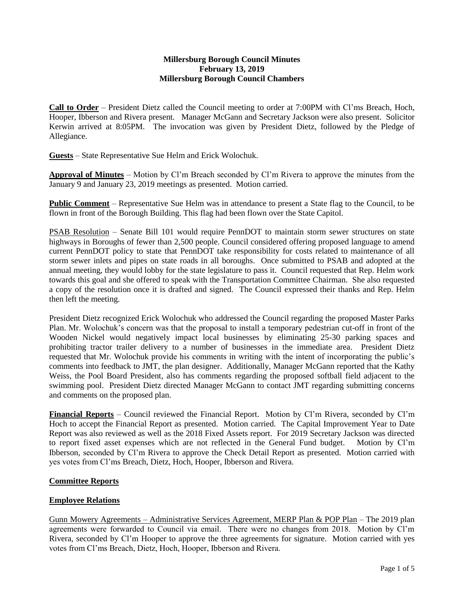### **Millersburg Borough Council Minutes February 13, 2019 Millersburg Borough Council Chambers**

**Call to Order** – President Dietz called the Council meeting to order at 7:00PM with Cl'ms Breach, Hoch, Hooper, Ibberson and Rivera present. Manager McGann and Secretary Jackson were also present. Solicitor Kerwin arrived at 8:05PM. The invocation was given by President Dietz, followed by the Pledge of Allegiance.

**Guests** – State Representative Sue Helm and Erick Wolochuk.

**Approval of Minutes** – Motion by Cl'm Breach seconded by Cl'm Rivera to approve the minutes from the January 9 and January 23, 2019 meetings as presented. Motion carried.

**Public Comment** – Representative Sue Helm was in attendance to present a State flag to the Council, to be flown in front of the Borough Building. This flag had been flown over the State Capitol.

PSAB Resolution – Senate Bill 101 would require PennDOT to maintain storm sewer structures on state highways in Boroughs of fewer than 2,500 people. Council considered offering proposed language to amend current PennDOT policy to state that PennDOT take responsibility for costs related to maintenance of all storm sewer inlets and pipes on state roads in all boroughs. Once submitted to PSAB and adopted at the annual meeting, they would lobby for the state legislature to pass it. Council requested that Rep. Helm work towards this goal and she offered to speak with the Transportation Committee Chairman. She also requested a copy of the resolution once it is drafted and signed. The Council expressed their thanks and Rep. Helm then left the meeting.

President Dietz recognized Erick Wolochuk who addressed the Council regarding the proposed Master Parks Plan. Mr. Wolochuk's concern was that the proposal to install a temporary pedestrian cut-off in front of the Wooden Nickel would negatively impact local businesses by eliminating 25-30 parking spaces and prohibiting tractor trailer delivery to a number of businesses in the immediate area. President Dietz requested that Mr. Wolochuk provide his comments in writing with the intent of incorporating the public's comments into feedback to JMT, the plan designer. Additionally, Manager McGann reported that the Kathy Weiss, the Pool Board President, also has comments regarding the proposed softball field adjacent to the swimming pool. President Dietz directed Manager McGann to contact JMT regarding submitting concerns and comments on the proposed plan.

**Financial Reports** – Council reviewed the Financial Report. Motion by Cl'm Rivera, seconded by Cl'm Hoch to accept the Financial Report as presented. Motion carried. The Capital Improvement Year to Date Report was also reviewed as well as the 2018 Fixed Assets report. For 2019 Secretary Jackson was directed to report fixed asset expenses which are not reflected in the General Fund budget. Motion by Cl'm Ibberson, seconded by Cl'm Rivera to approve the Check Detail Report as presented. Motion carried with yes votes from Cl'ms Breach, Dietz, Hoch, Hooper, Ibberson and Rivera.

### **Committee Reports**

### **Employee Relations**

Gunn Mowery Agreements – Administrative Services Agreement, MERP Plan & POP Plan – The 2019 plan agreements were forwarded to Council via email. There were no changes from 2018. Motion by Cl'm Rivera, seconded by Cl'm Hooper to approve the three agreements for signature. Motion carried with yes votes from Cl'ms Breach, Dietz, Hoch, Hooper, Ibberson and Rivera.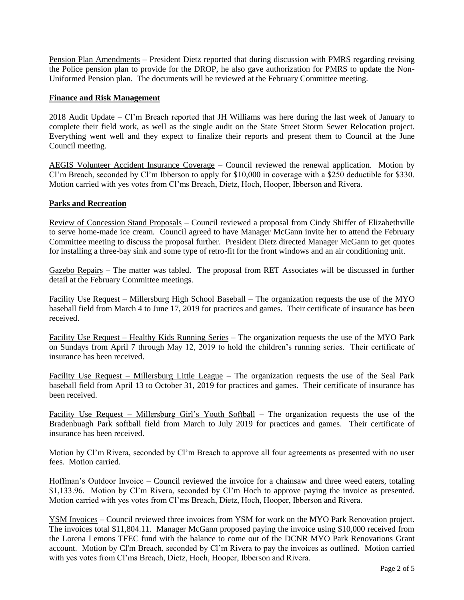Pension Plan Amendments – President Dietz reported that during discussion with PMRS regarding revising the Police pension plan to provide for the DROP, he also gave authorization for PMRS to update the Non-Uniformed Pension plan. The documents will be reviewed at the February Committee meeting.

#### **Finance and Risk Management**

2018 Audit Update – Cl'm Breach reported that JH Williams was here during the last week of January to complete their field work, as well as the single audit on the State Street Storm Sewer Relocation project. Everything went well and they expect to finalize their reports and present them to Council at the June Council meeting.

AEGIS Volunteer Accident Insurance Coverage – Council reviewed the renewal application. Motion by Cl'm Breach, seconded by Cl'm Ibberson to apply for \$10,000 in coverage with a \$250 deductible for \$330. Motion carried with yes votes from Cl'ms Breach, Dietz, Hoch, Hooper, Ibberson and Rivera.

### **Parks and Recreation**

Review of Concession Stand Proposals – Council reviewed a proposal from Cindy Shiffer of Elizabethville to serve home-made ice cream. Council agreed to have Manager McGann invite her to attend the February Committee meeting to discuss the proposal further. President Dietz directed Manager McGann to get quotes for installing a three-bay sink and some type of retro-fit for the front windows and an air conditioning unit.

Gazebo Repairs – The matter was tabled. The proposal from RET Associates will be discussed in further detail at the February Committee meetings.

Facility Use Request – Millersburg High School Baseball – The organization requests the use of the MYO baseball field from March 4 to June 17, 2019 for practices and games. Their certificate of insurance has been received.

Facility Use Request – Healthy Kids Running Series – The organization requests the use of the MYO Park on Sundays from April 7 through May 12, 2019 to hold the children's running series. Their certificate of insurance has been received.

Facility Use Request – Millersburg Little League – The organization requests the use of the Seal Park baseball field from April 13 to October 31, 2019 for practices and games. Their certificate of insurance has been received.

Facility Use Request – Millersburg Girl's Youth Softball – The organization requests the use of the Bradenbuagh Park softball field from March to July 2019 for practices and games. Their certificate of insurance has been received.

Motion by Cl'm Rivera, seconded by Cl'm Breach to approve all four agreements as presented with no user fees. Motion carried.

Hoffman's Outdoor Invoice – Council reviewed the invoice for a chainsaw and three weed eaters, totaling \$1,133.96. Motion by Cl'm Rivera, seconded by Cl'm Hoch to approve paying the invoice as presented. Motion carried with yes votes from Cl'ms Breach, Dietz, Hoch, Hooper, Ibberson and Rivera.

YSM Invoices – Council reviewed three invoices from YSM for work on the MYO Park Renovation project. The invoices total \$11,804.11. Manager McGann proposed paying the invoice using \$10,000 received from the Lorena Lemons TFEC fund with the balance to come out of the DCNR MYO Park Renovations Grant account. Motion by Cl'm Breach, seconded by Cl'm Rivera to pay the invoices as outlined. Motion carried with yes votes from Cl'ms Breach, Dietz, Hoch, Hooper, Ibberson and Rivera.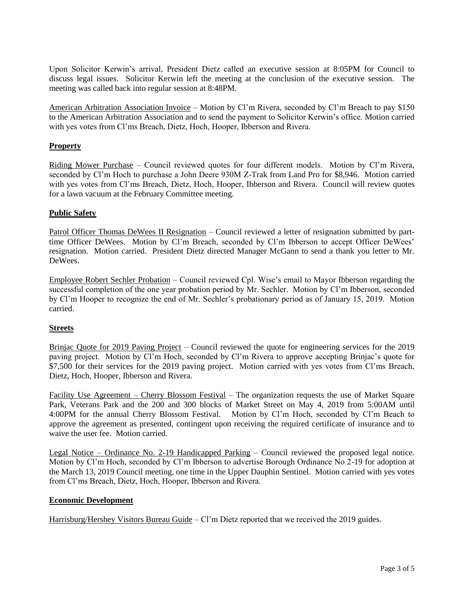Upon Solicitor Kerwin's arrival, President Dietz called an executive session at 8:05PM for Council to discuss legal issues. Solicitor Kerwin left the meeting at the conclusion of the executive session. The meeting was called back into regular session at 8:48PM.

American Arbitration Association Invoice – Motion by Cl'm Rivera, seconded by Cl'm Breach to pay \$150 to the American Arbitration Association and to send the payment to Solicitor Kerwin's office. Motion carried with yes votes from Cl'ms Breach, Dietz, Hoch, Hooper, Ibberson and Rivera.

## **Property**

Riding Mower Purchase – Council reviewed quotes for four different models. Motion by Cl'm Rivera, seconded by Cl'm Hoch to purchase a John Deere 930M Z-Trak from Land Pro for \$8,946. Motion carried with yes votes from Cl'ms Breach, Dietz, Hoch, Hooper, Ibberson and Rivera. Council will review quotes for a lawn vacuum at the February Committee meeting.

### **Public Safety**

Patrol Officer Thomas DeWees II Resignation – Council reviewed a letter of resignation submitted by parttime Officer DeWees. Motion by Cl'm Breach, seconded by Cl'm Ibberson to accept Officer DeWees' resignation. Motion carried. President Dietz directed Manager McGann to send a thank you letter to Mr. DeWees.

Employee Robert Sechler Probation – Council reviewed Cpl. Wise's email to Mayor Ibberson regarding the successful completion of the one year probation period by Mr. Sechler. Motion by Cl'm Ibberson, seconded by Cl'm Hooper to recognize the end of Mr. Sechler's probationary period as of January 15, 2019. Motion carried.

### **Streets**

Brinjac Quote for 2019 Paving Project – Council reviewed the quote for engineering services for the 2019 paving project. Motion by Cl'm Hoch, seconded by Cl'm Rivera to approve accepting Brinjac's quote for \$7,500 for their services for the 2019 paving project. Motion carried with yes votes from Cl'ms Breach, Dietz, Hoch, Hooper, Ibberson and Rivera.

Facility Use Agreement – Cherry Blossom Festival – The organization requests the use of Market Square Park, Veterans Park and the 200 and 300 blocks of Market Street on May 4, 2019 from 5:00AM until 4:00PM for the annual Cherry Blossom Festival. Motion by Cl'm Hoch, seconded by Cl'm Beach to approve the agreement as presented, contingent upon receiving the required certificate of insurance and to waive the user fee. Motion carried.

Legal Notice – Ordinance No. 2-19 Handicapped Parking – Council reviewed the proposed legal notice. Motion by Cl'm Hoch, seconded by Cl'm Ibberson to advertise Borough Ordinance No 2-19 for adoption at the March 13, 2019 Council meeting, one time in the Upper Dauphin Sentinel. Motion carried with yes votes from Cl'ms Breach, Dietz, Hoch, Hooper, Ibberson and Rivera.

### **Economic Development**

Harrisburg/Hershey Visitors Bureau Guide – Cl'm Dietz reported that we received the 2019 guides.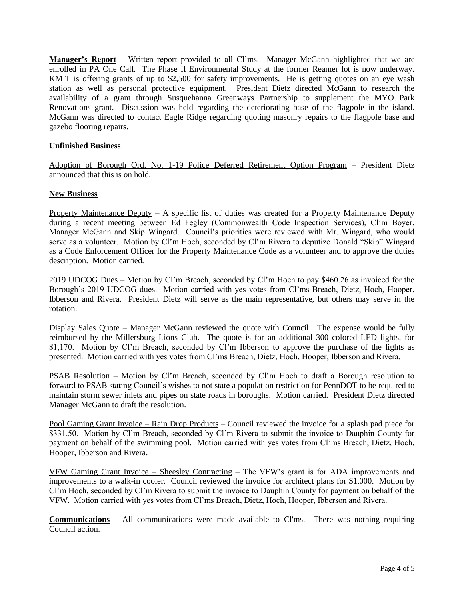**Manager's Report** – Written report provided to all Cl'ms. Manager McGann highlighted that we are enrolled in PA One Call. The Phase II Environmental Study at the former Reamer lot is now underway. KMIT is offering grants of up to \$2,500 for safety improvements. He is getting quotes on an eye wash station as well as personal protective equipment. President Dietz directed McGann to research the availability of a grant through Susquehanna Greenways Partnership to supplement the MYO Park Renovations grant. Discussion was held regarding the deteriorating base of the flagpole in the island. McGann was directed to contact Eagle Ridge regarding quoting masonry repairs to the flagpole base and gazebo flooring repairs.

## **Unfinished Business**

Adoption of Borough Ord. No. 1-19 Police Deferred Retirement Option Program – President Dietz announced that this is on hold.

### **New Business**

Property Maintenance Deputy – A specific list of duties was created for a Property Maintenance Deputy during a recent meeting between Ed Fegley (Commonwealth Code Inspection Services), Cl'm Boyer, Manager McGann and Skip Wingard. Council's priorities were reviewed with Mr. Wingard, who would serve as a volunteer. Motion by Cl'm Hoch, seconded by Cl'm Rivera to deputize Donald "Skip" Wingard as a Code Enforcement Officer for the Property Maintenance Code as a volunteer and to approve the duties description. Motion carried.

2019 UDCOG Dues – Motion by Cl'm Breach, seconded by Cl'm Hoch to pay \$460.26 as invoiced for the Borough's 2019 UDCOG dues. Motion carried with yes votes from Cl'ms Breach, Dietz, Hoch, Hooper, Ibberson and Rivera. President Dietz will serve as the main representative, but others may serve in the rotation.

Display Sales Quote – Manager McGann reviewed the quote with Council. The expense would be fully reimbursed by the Millersburg Lions Club. The quote is for an additional 300 colored LED lights, for \$1,170. Motion by Cl'm Breach, seconded by Cl'm Ibberson to approve the purchase of the lights as presented. Motion carried with yes votes from Cl'ms Breach, Dietz, Hoch, Hooper, Ibberson and Rivera.

PSAB Resolution – Motion by Cl'm Breach, seconded by Cl'm Hoch to draft a Borough resolution to forward to PSAB stating Council's wishes to not state a population restriction for PennDOT to be required to maintain storm sewer inlets and pipes on state roads in boroughs. Motion carried. President Dietz directed Manager McGann to draft the resolution.

Pool Gaming Grant Invoice – Rain Drop Products – Council reviewed the invoice for a splash pad piece for \$331.50. Motion by Cl'm Breach, seconded by Cl'm Rivera to submit the invoice to Dauphin County for payment on behalf of the swimming pool. Motion carried with yes votes from Cl'ms Breach, Dietz, Hoch, Hooper, Ibberson and Rivera.

VFW Gaming Grant Invoice – Sheesley Contracting – The VFW's grant is for ADA improvements and improvements to a walk-in cooler. Council reviewed the invoice for architect plans for \$1,000. Motion by Cl'm Hoch, seconded by Cl'm Rivera to submit the invoice to Dauphin County for payment on behalf of the VFW. Motion carried with yes votes from Cl'ms Breach, Dietz, Hoch, Hooper, Ibberson and Rivera.

**Communications** – All communications were made available to Cl'ms. There was nothing requiring Council action.